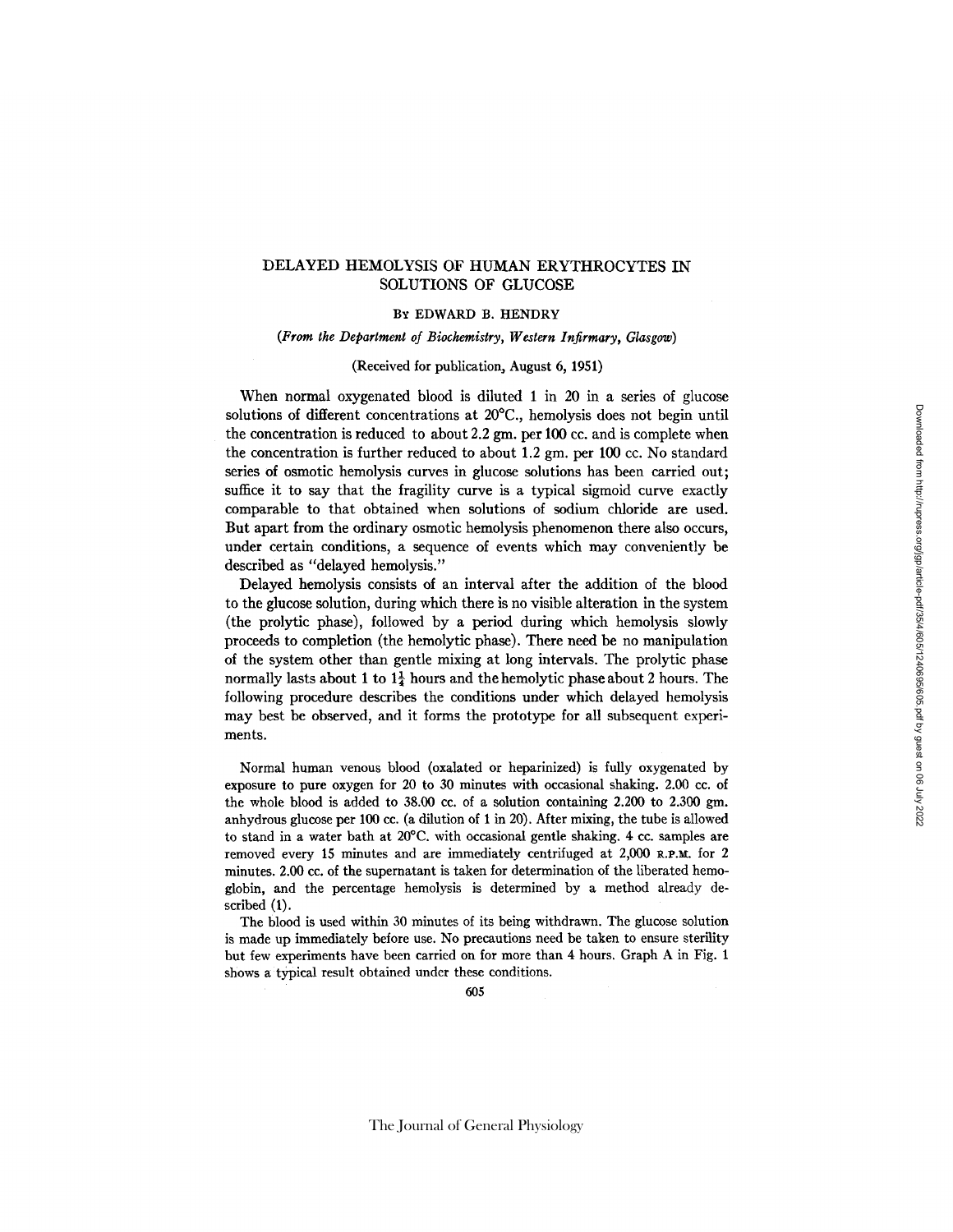# DELAYED HEMOLYSIS OF HUMAN ERYTHROCYTES IN SOLUTIONS OF GLUCOSE

### BY EDWARD B. HENDRY

### *(From the Department of Biochemistry, Western Infirmary, Glasgow)*

# (Received for publication, August 6, 1951)

When normal oxygenated blood is diluted 1 in 20 in a series of glucose solutions of different concentrations at 20°C., hemolysis does not begin until the concentration is reduced to about 2.2 gm. per  $100$  cc. and is complete when the concentration is further reduced to about 1.2 gm. per 100 cc. No standard series of osmotic hemolysis curves in glucose solutions has been carried out; suffice it to say that the fragility curve is a typical sigmoid curve exactly comparable to that obtained when solutions of sodium chloride are used. But apart from the ordinary osmotic hemolysis phenomenon there also occurs, under certain conditions, a sequence of events which may conveniently be described as "delayed hemolysis."

Delayed hemolysis consists of an interval after the addition of the blood to the glucose solution, during which there is no visible alteration in the system (the prolytic phase), followed by a period during which hemolysis slowly proceeds to completion (the hemolytic phase). There need be no manipulation of the system other than gentle mixing at long intervals. The prolytic phase normally lasts about 1 to  $1\frac{1}{4}$  hours and the hemolytic phase about 2 hours. The following procedure describes the conditions under which delayed hemolysis may best be observed, and it forms the prototype for all subsequent experiments.

Normal human venous blood (oxalated or heparinized) is fully oxygenated by exposure to pure oxygen for 20 to 30 minutes with occasional shaking. 2.00 cc. of the whole blood is added to 38.00 cc. of a solution containing 2.200 to 2.300 gm. anhydrous glucose per 100 cc. (a dilution of 1 in 20). After mixing, the tube is allowed to stand in a water bath at 20°C. with occasional gentle shaking. 4 cc. samples are removed every 15 minutes and are immediately centrifuged at  $2,000$  R.P.M. for 2 minutes. 2.00 cc. of the supernatant is taken for determination of the liberated hemoglobin, and the percentage hemolysis is determined by a method already described (1).

The blood is used within 30 minutes of its being withdrawn. The glucose solution is made up immediately before use. No precautions need be taken to ensure sterility but few experiments have been carried on for more than 4 hours. Graph A in Fig. 1 shows a typical result obtained under these conditions.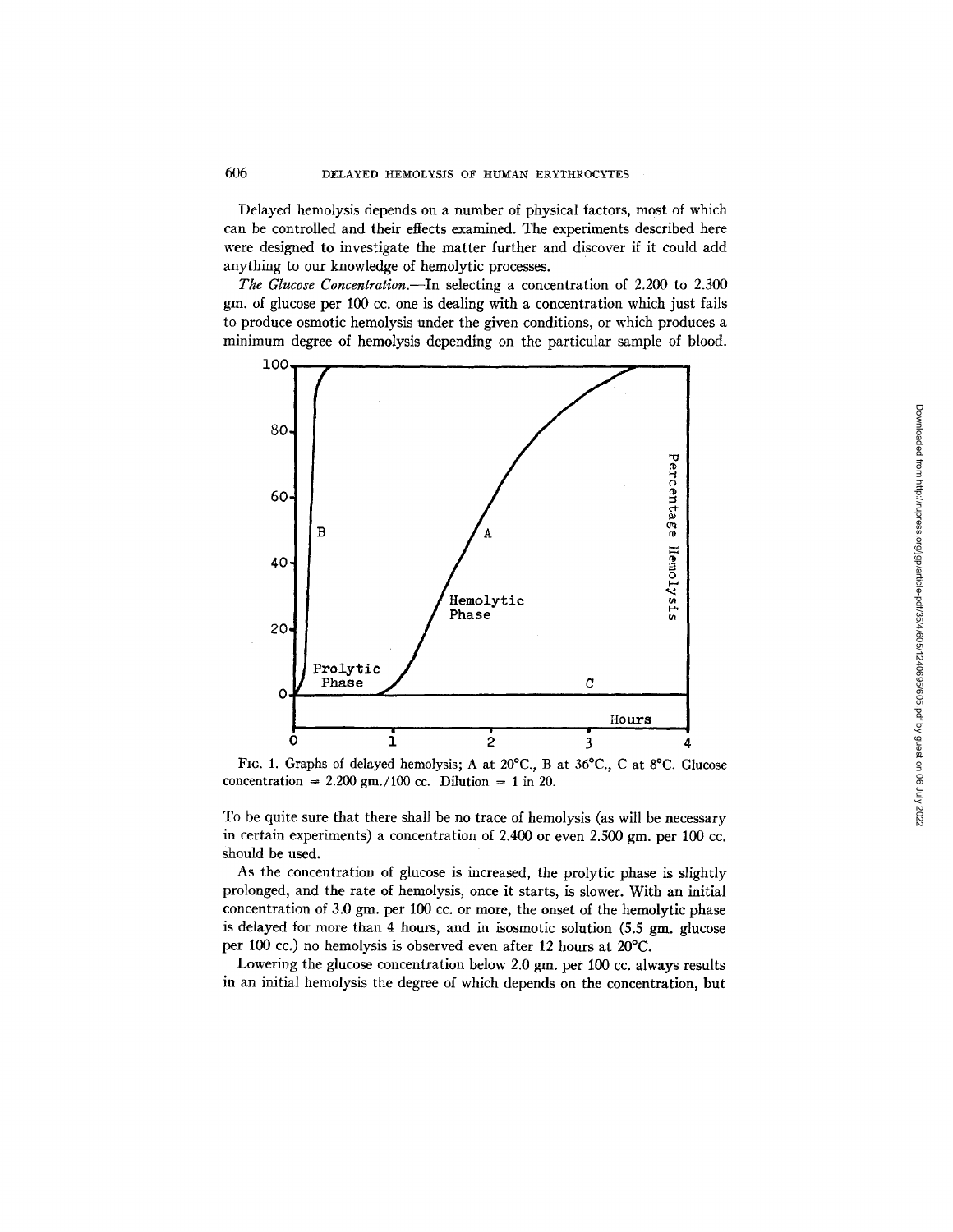Delayed hemolysis depends on a number of physical factors, most of which can be controlled and their effects examined. The experiments described here were designed to investigate the matter further and discover if it could add anything to our knowledge of hemolytic processes.

*The Glucose Concentration.--In* selecting a concentration of 2.200 to 2.300 gin. of glucose per 100 cc. one is dealing with a concentration which just fails to produce osmotic hemolysis under the given conditions, or which produces a minimum degree of hemolysis depending on the particular sample of blood.



FIG. 1. Graphs of delayed hemolysis; A at 20°C., B at 36°C., C at 8°C. Glucose concentration  $= 2.200$  gm./100 cc. Dilution  $= 1$  in 20.

To be quite sure that there shall be no trace of hemolysis (as will be necessary in certain experiments) a concentration of 2.400 or even 2.500 gm. per 100 cc. should be used.

As the concentration of glucose is increased, the prolytic phase is slightly prolonged, and the rate of hemolysis, once it starts, is slower. With an initial concentration of 3.0 gm. per 100 cc. or more, the onset of the hemolytic phase is delayed for more than 4 hours, and in isosmotic solution (5.5 gm. glucose per 100 cc.) no hemolysis is observed even after 12 hours at 20°C.

Lowering the glucose concentration below 2.0 gm. per 100 cc. always results in an initial hemolysis the degree of which depends on the concentration, but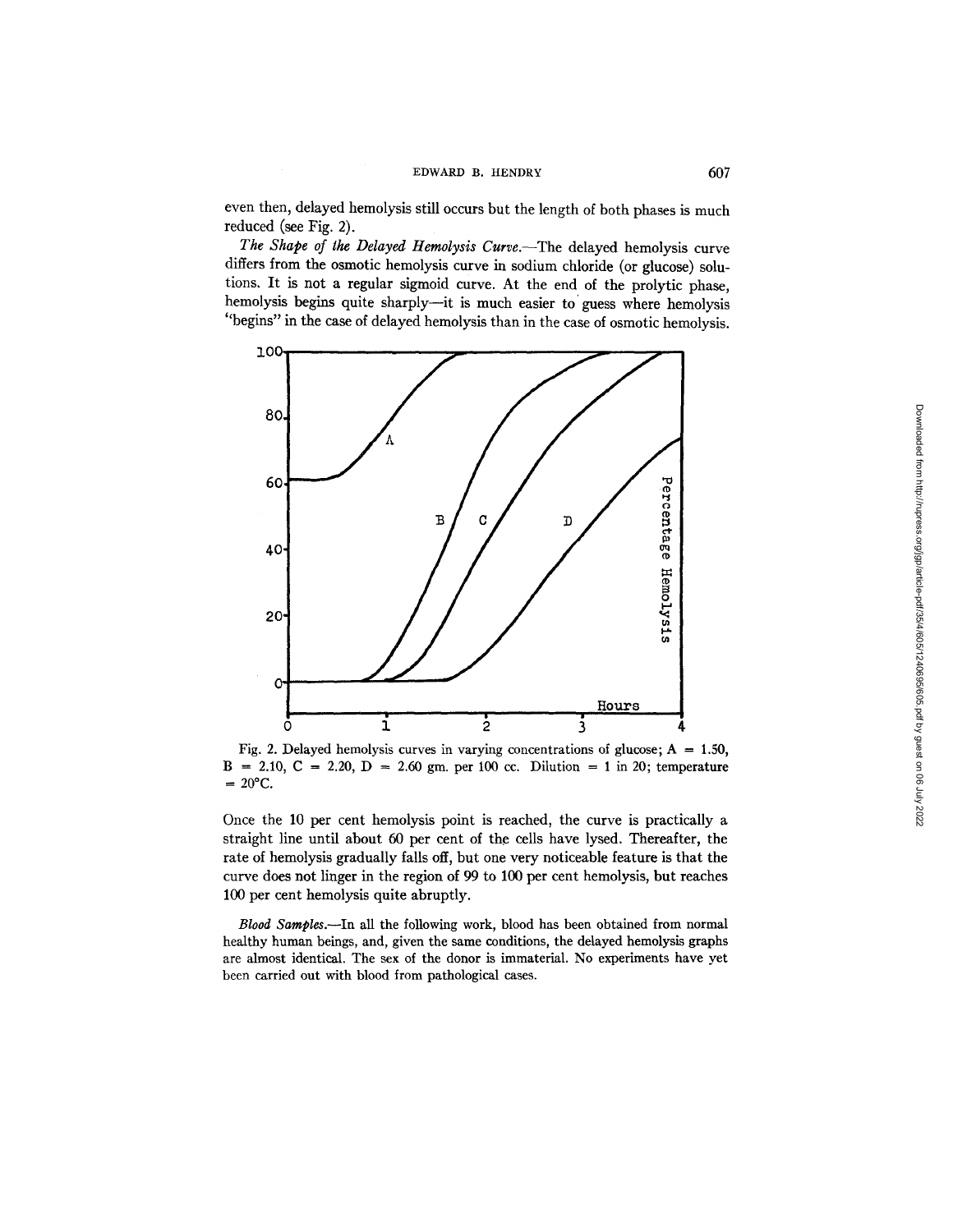even then, delayed hemolysis still occurs but the length of both phases is much reduced (see Fig. 2).

*The Shape of the Delayed Hemolysis Curve.--The* delayed hemolysis curve differs from the osmotic hemolysis curve in sodium chloride (or glucose) solutions. It is not a regular sigmoid curve. At the end of the prolytic phase, hemolysis begins quite sharply--it is much easier to guess where hemolysis "begins" in the case of delayed hemolysis than in the case of osmotic hemolysis.



Fig. 2. Delayed hemolysis curves in varying concentrations of glucose;  $A = 1.50$ ,  $B = 2.10, C = 2.20, D = 2.60$  gm. per 100 cc. Dilution = 1 in 20; temperature  $= 20^{\circ}$ C.

Once the 10 per cent hemolysis point is reached, the curve is practically a straight line until about 60 per cent of the cells have lysed. Thereafter, the rate of hemolysis gradually fails off, but one very noticeable feature is that the curve does not linger in the region of 99 to 100 per cent hemolysis, but reaches 100 per cent hemolysis quite abruptly.

*Blood Samples.--In* all the following work, blood has been obtained from normal healthy human beings, and, given the same conditions, the delayed hemolysis graphs are almost identical. The sex of the donor is immaterial. No experiments have yet been carried out with blood from pathological cases.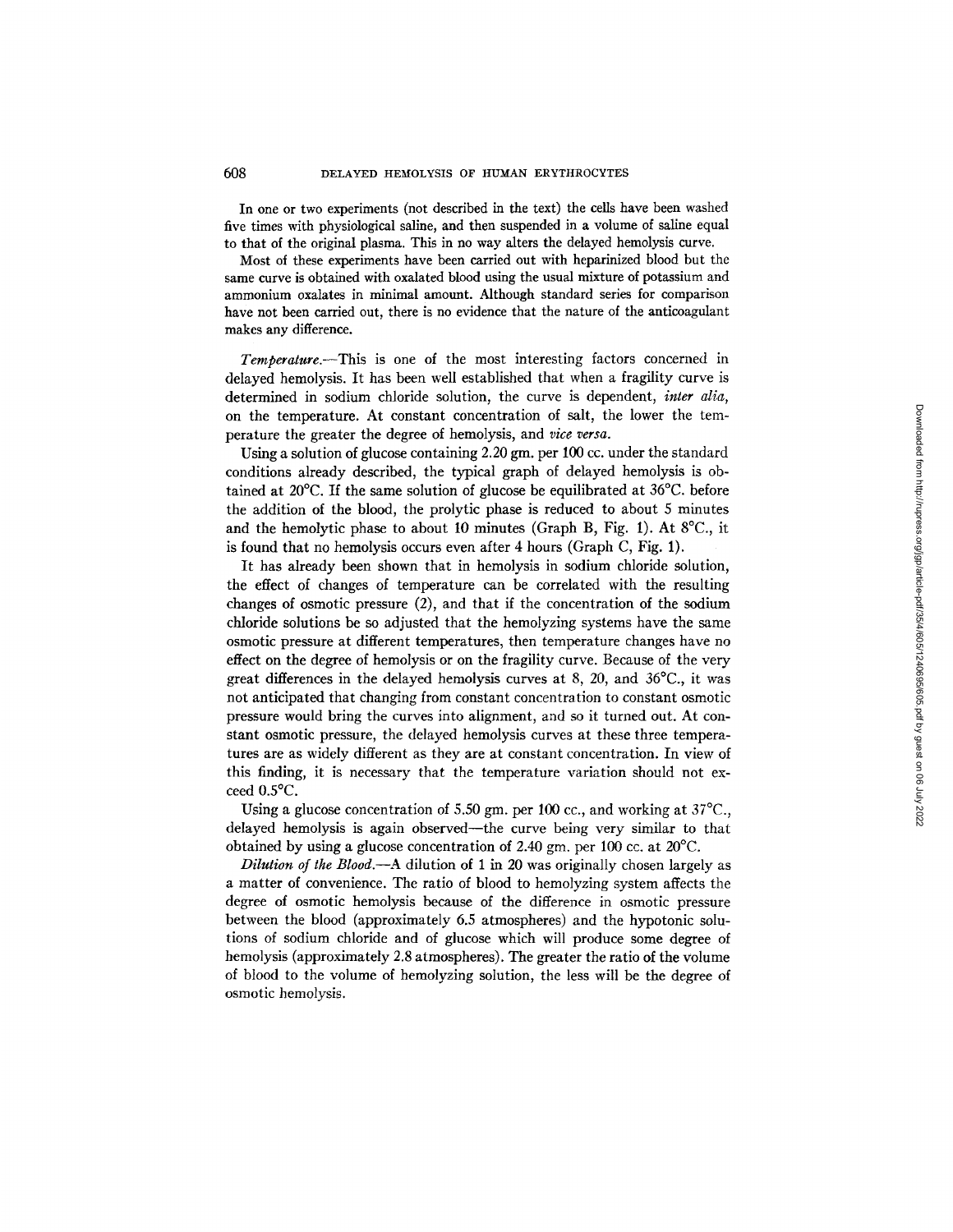In one or two experiments (not described in the text) the cells have been washed five times with physiological saline, and then suspended in a volume of saline equal to that of the original plasma. This in no way alters the delayed hemolysis curve.

Most of these experiments have been carried out with heparinized blood but the same curve is obtained with oxalated blood using the usual mixture of potassium and ammonium oxalates in minimal amount. Although standard series for comparison have not been carried out, there is no evidence that the nature of the anticoagulant makes any difference.

*Temperature.--This* is one of the most interesting factors concerned in delayed hemolysis. It has been well established that when a fragility curve is determined in sodium chloride solution, the curve is dependent, *inter alia,*  on the temperature. At constant concentration of salt, the lower the temperature the greater the degree of hemolysis, and *vice versa.* 

Using a solution of glucose containing 2.20 gm. per 100 cc. under the standard conditions already described, the typical graph of delayed hemolysis is obtained at 20°C. If the same solution of glucose be equilibrated at 36°C. before the addition of the blood, the prolytic phase is reduced to about 5 minutes and the hemolytic phase to about 10 minutes (Graph B, Fig. 1). At  $8^{\circ}$ C., it is found that no hemolysis occurs even after 4 hours (Graph C, Fig. 1).

It has already been shown that in hemolysis in sodium chloride solution, the effect of changes of temperature can be correlated with the resulting changes of osmotic pressure (2), and that if the concentration of the sodium chloride solutions be so adjusted that the hemolyzing systems have the same osmotic pressure at different temperatures, then temperature changes have no effect on the degree of hemolysis or on the fragility curve. Because of the very great differences in the delayed hemolysis curves at 8, 20, and  $36^{\circ}$ C., it was not anticipated that changing from constant concentration to constant osmotic pressure would bring the curves into alignment, and so it turned out. At constant osmotic pressure, the delayed hemolysis curves at these three temperatures are as widely different as they are at constant concentration. In view of this finding, it is necessary that the temperature variation should not exceed 0.5°C.

Using a glucose concentration of 5.50 gm. per 100 cc., and working at  $37^{\circ}$ C., delayed hemolysis is again observed--the curve being very similar to that obtained by using a glucose concentration of 2.40 gm. per 100 cc. at  $20^{\circ}$ C.

*Dilution of the Blood.--A* dilution of 1 in 20 was originally chosen largely as a matter of convenience. The ratio of blood to hemolyzing system affects the degree of osmotic hemolysis because of the difference in osmotic pressure between the blood (approximately 6.5 atmospheres) and the hypotonic solutions of sodium chloride and of glucose which will produce some degree of hemolysis (approximately 2.8 atmospheres). The greater the ratio of the volume of blood to the volume of hemolyzing solution, the less will be the degree of osmotic hemolysis.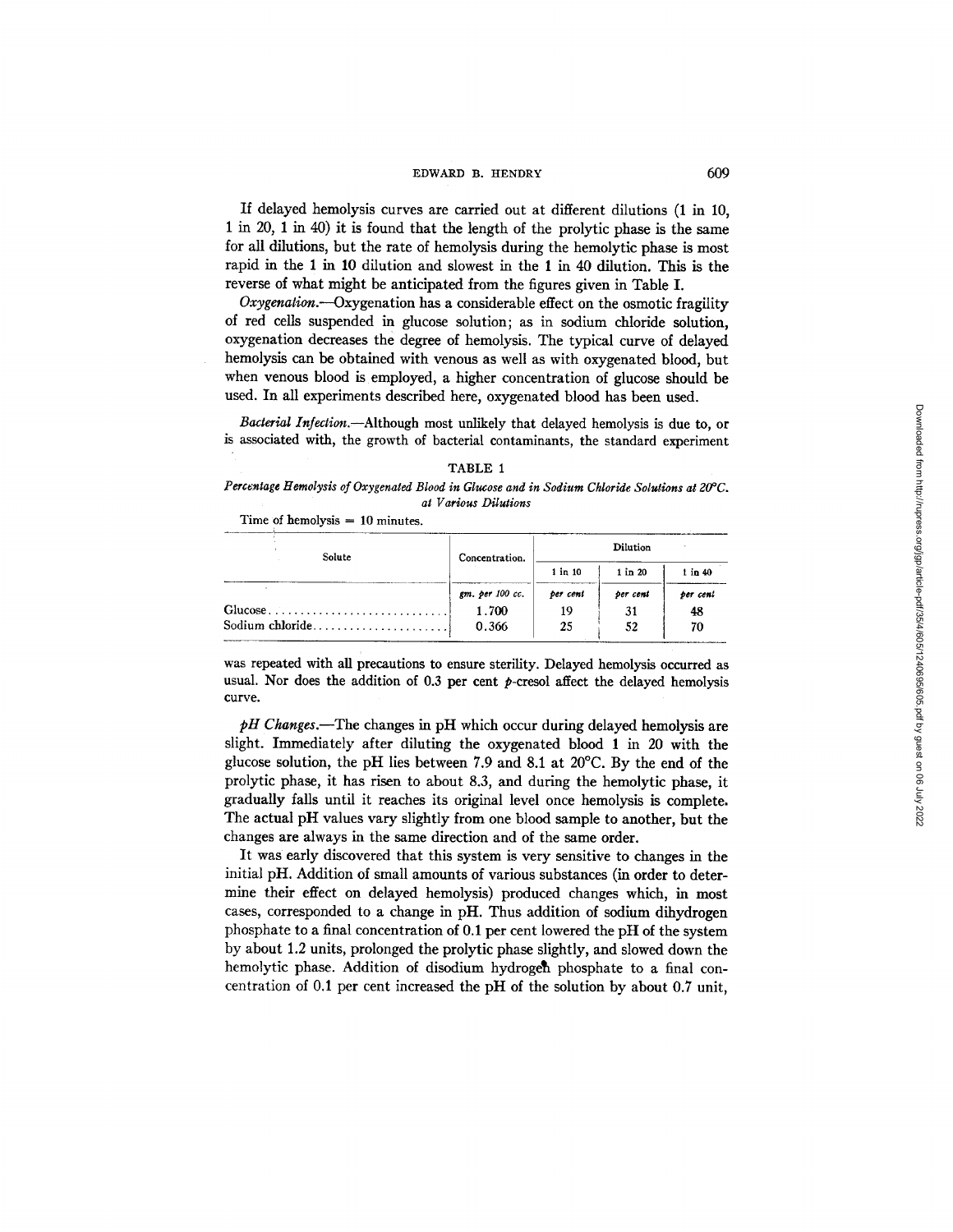#### EDWARD B. HENDRY 609

If delayed hemolysis curves are carried out at different dilutions (1 in 10, 1 in 20, 1 in 40) it is found that the length of the prolytic phase is the same for all dilutions, but the rate of hemolysis during the hemolytic phase is most rapid in the 1 in 10 dilution and slowest in the 1 in 40 dilution. This is the reverse of what might be anticipated from the figures given in Table I.

*Oxygenation.--Oxygenation* has a considerable effect on the osmotic fragility of red cells suspended in glucose solution; as in sodium chloride solution, oxygenation decreases the degree of hemolysis. The typical curve of delayed hemolysis can be obtained with venous as well as with oxygenated blood, but when venous blood is employed, a higher concentration of glucose should be used. In all experiments described here, oxygenated blood has been used.

*Bacterial Infection.--Although* most unlikely that delayed hemolysis is due to, or is associated with, the growth of bacterial contaminants, the standard experiment

#### TABLE 1

# Percentage Hemolysis of Oxygenated Blood in Glucose and in Sodium Chloride Solutions at 20°C. *at Various Dilutions*

Time of hemolysis  $= 10$  minutes.

| Solute          | Concentration.  | Dilution    |             |             |
|-----------------|-----------------|-------------|-------------|-------------|
|                 |                 | $1$ in $10$ | $1$ in $20$ | $1$ in $40$ |
|                 | gm. per 100 cc. | per cent    | per cent    | per cent    |
|                 | 1.700           | 19          | 31          | 48          |
| Sodium chloride | 0.366           | 25          | 52          | 70          |

was repeated with all precautions to ensure sterility. Delayed hemolysis occurred as usual. Nor does the addition of 0.3 per cent  $p$ -cresol affect the delayed hemolysis curve.

*pH Changes.--The* changes in pH which occur during delayed hemolysis are slight. Immediately after diluting the oxygenated blood 1 in 20 with the glucose solution, the pH lies between 7.9 and 8.1 at 20°C. By the end of the prolytic phase, it has risen to about 8.3, and during the hemolytic phase, it gradually falls until it reaches its original level once hemolysis is complete. The actual pH values vary slightly from one blood sample to another, but the changes are always in the same direction and of the same order.

It was early discovered that this system is very sensitive to changes in the initial pH. Addition of small amounts of various substances (in order to determine their effect on delayed hemolysis) produced changes which, in most cases, corresponded to a change in pH. Thus addition of sodium dihydrogen phosphate to a final concentration of 0.1 per cent lowered the pH of the system by about 1.2 units, prolonged the prolyfic phase slightly, and slowed down the hemolytic phase. Addition of disodium hydrogen phosphate to a final concentration of 0.1 per cent increased the pH of the solution by about 0.7 unit,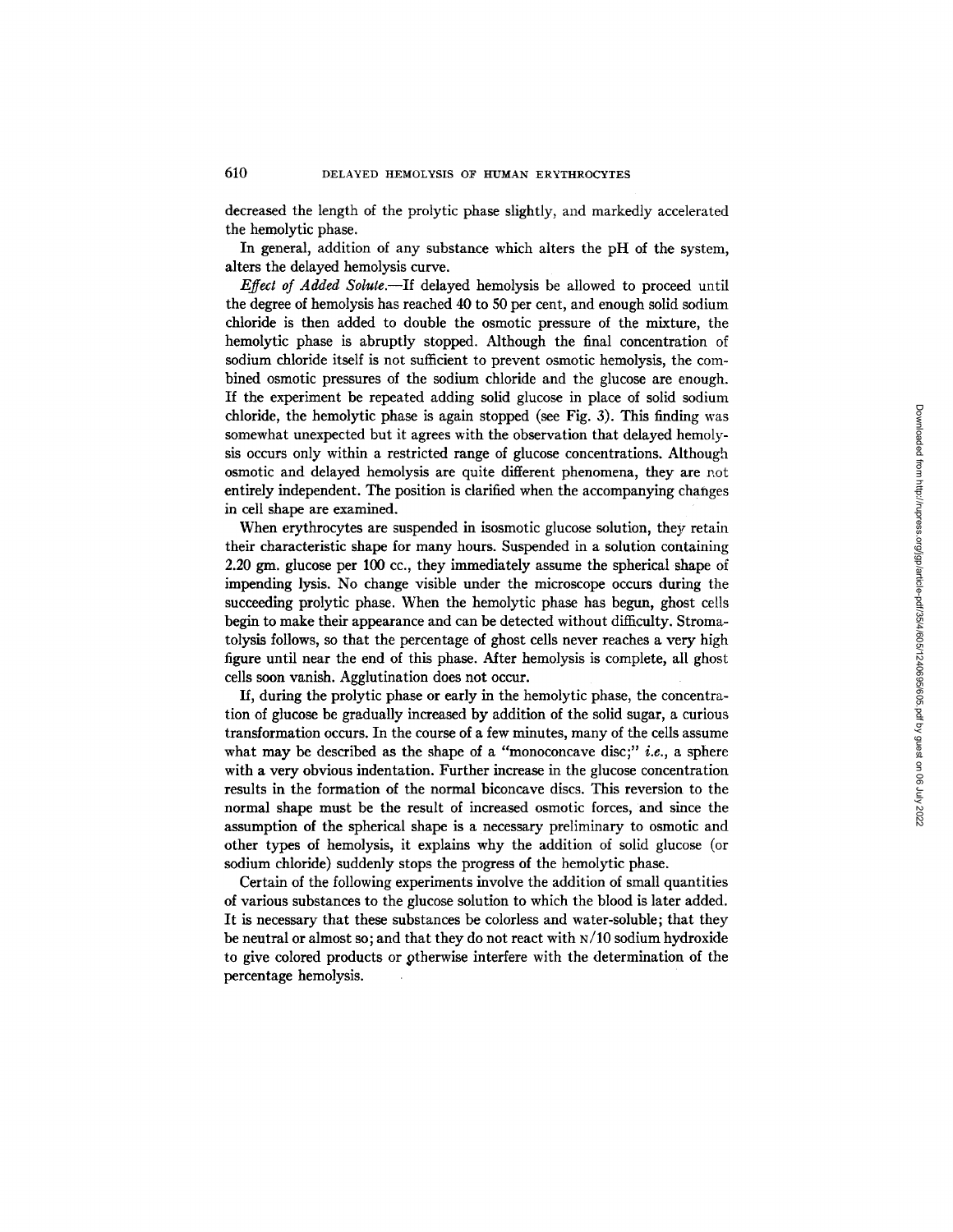decreased the length of the prolytic phase slightly, and markedly accelerated the hemolytic phase.

In general, addition of any substance which alters the pH of the system, alters the delayed hemolysis curve.

*Effect of Added Solute.--If* delayed hemolysis be allowed to proceed until the degree of hemolysis has reached 40 to 50 per cent, and enough solid sodium chloride is then added to double the osmotic pressure of the mixture, the hemolytic phase is abruptly stopped. Although the final concentration of sodium chloride itself is not sufficient to prevent osmotic hemolysis, the combined osmotic pressures of the sodium chloride and the glucose are enough. If the experiment be repeated adding solid glucose in place of solid sodium chloride, the hemolytic phase is again stopped (see Fig. 3). This finding was somewhat unexpected but it agrees with the observation that delayed hemolysis occurs only within a restricted range of glucose concentrations. Although osmotic and delayed hemolysis are quite different phenomena, they are p.ot entirely independent. The position is clarified when the accompanying changes in cell shape are examined.

When erythrocytes are suspended in isosmotic glucose solution, they retain their characteristic shape for many hours. Suspended in a solution containing 2.20 gm. glucose per  $100$  cc., they immediately assume the spherical shape of impending lysis. No change visible under the microscope occurs during the succeeding prolytic phase. When the hemolytic phase has begun, ghost cells begin to make their appearance and can be detected without difficulty. Stromatolysis follows, so that the percentage of ghost cells never reaches a very high figure until near the end of this phase. After hemolysis is complete, all ghost cells soon vanish. Agglutination does not occur.

If, during the prolytic phase or early in the hemolytic phase, the concentration of glucose be gradually increased by addition of the solid sugar, a curious transformation occurs. In the course of a few minutes, many of the cells assume what may be described as the shape of a "monoconcave disc;" *i.e.,* a sphere with a very obvious indentation. Further increase in the glucose concentration results in the formation of the normal biconcave discs. This reversion to the normal shape must be the result of increased osmotic forces, and since the assumption of the spherical shape is a necessary preliminary to osmotic and other types of hemolysis, it explains why the addition of solid glucose (or sodium chloride) suddenly stops the progress of the hemolytic phase.

Certain of the following experiments involve the addition of small quantities of various substances to the glucose solution to which the blood is later added. It is necessary that these substances be colorless and water-soluble; that they be neutral or almost so; and that they do not react with  $N/10$  sodium hydroxide to give colored products or otherwise interfere with the determination of the percentage hemolysis.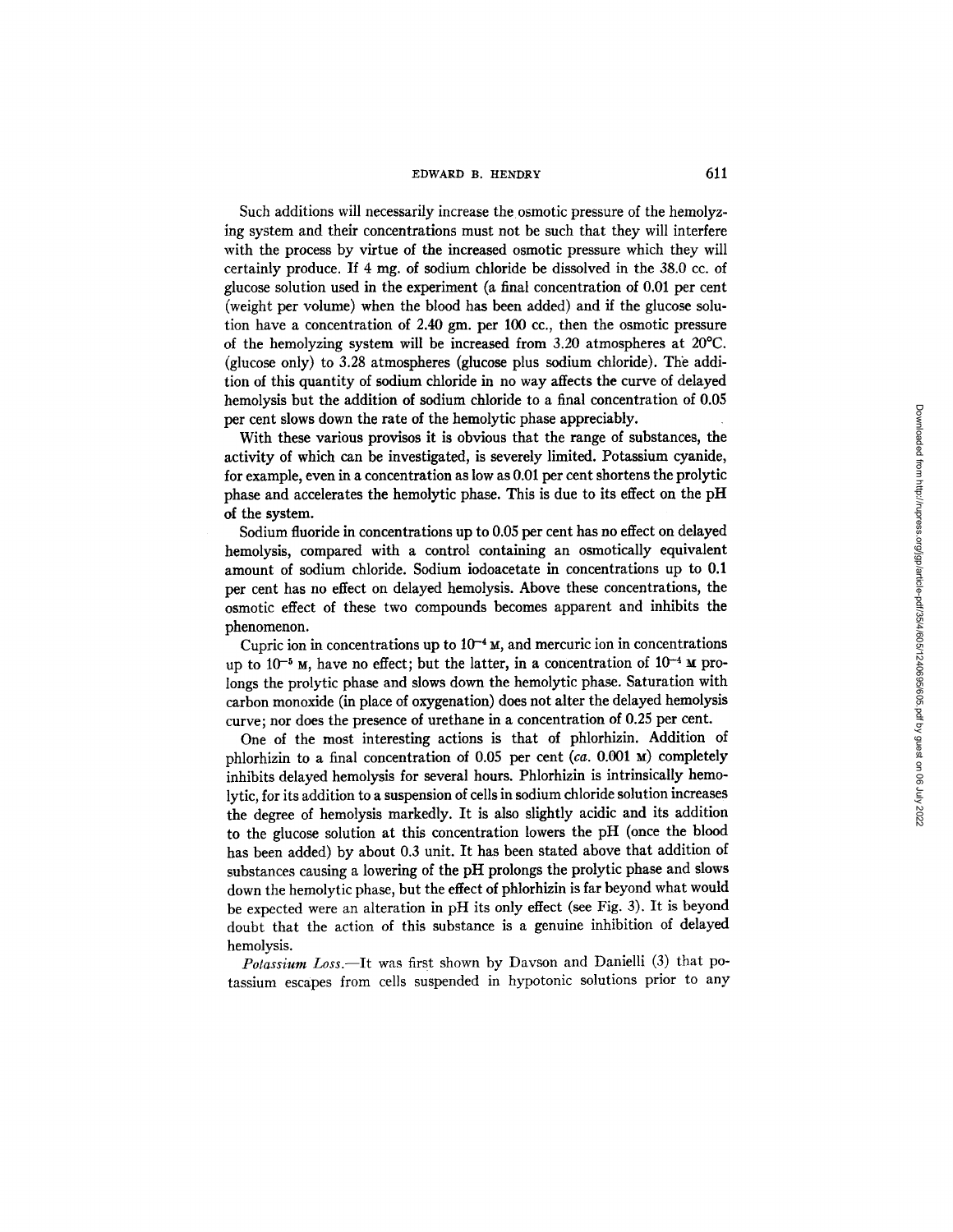### EDWARD B. HENDRY 611

Such additions will necessarily increase the osmotic pressure of the hemolyzing system and their concentrations must not be such that they will interfere with the process by virtue of the increased osmotic pressure which they will certainly produce. If  $4 \text{ mg}$ , of sodium chloride be dissolved in the 38.0 cc. of glucose solution used in the experiment (a final concentration of 0.01 per cent (weight per volume) when the blood has been added) and if the glucose solution have a concentration of 2.40 gm. per 100 cc., then the osmotic pressure of the hemolyzing system will be increased from 3.20 atmospheres at 20°C. (glucose only) to 3.28 atmospheres (glucose plus sodium chloride). The addition of this quantity of sodium chloride in no way affects the curve of delayed hemolysis but the addition of sodium chloride to a final concentration of 0.05 per cent slows down the rate of the hemolytic phase appreciably.

With these various provisos it is obvious that the range of substances, the activity of which can be investigated, is severely limited. Potassium cyanide, for example, even in a concentration as low as 0.01 per cent shortens the prolytic phase and accelerates the hemolytic phase. This is due to its effect on the pit of the system.

Sodium fluoride in concentrations up to 0.05 per cent has no effect on delayed hemolysis, compared with a control containing an osmotically equivalent amount of sodium chloride. Sodium iodoacetate in concentrations up to 0.1 per cent has no effect on delayed hemolysis. Above these concentrations, the osmotic effect of these two compounds becomes apparent and inhibits the phenomenon.

Cupric ion in concentrations up to  $10^{-4}$  M, and mercuric ion in concentrations up to  $10^{-5}$  M, have no effect; but the latter, in a concentration of  $10^{-4}$  M prolongs the prolytic phase and slows down the hemolytic phase. Saturation with carbon monoxide (in place of oxygenation) does not alter the delayed hemolysis curve; nor does the presence of urethane in a concentration of 0.25 per cent.

One of the most interesting actions is that of phlorhizin. Addition of phlorhizin to a final concentration of 0.05 per cent (ca. 0.001 M) completely inhibits delayed hemolysis for several hours. Phlorhizin is intrinsically hemolytic, for its addition to a suspension of ceils in sodium chloride solution increases the degree of hemolysis markedly. It is also slightly acidic and its addition to the glucose solution at this concentration lowers the pH (once the blood has been added) by about 0.3 unit. It has been stated above that addition of substances causing a lowering of the pH prolongs the prolytic phase and slows down the hemolytic phase, but the effect of phlorhizin is far beyond what would be expected were an alteration in pH its only effect (see Fig. 3). It is beyond doubt that the action of this substance is a genuine inhibition of delayed hemolysis.

*Potassium Loss.--It* was first shown by Davson and Danielli (3) that potassium escapes from cells suspended in hypotonic solutions prior to any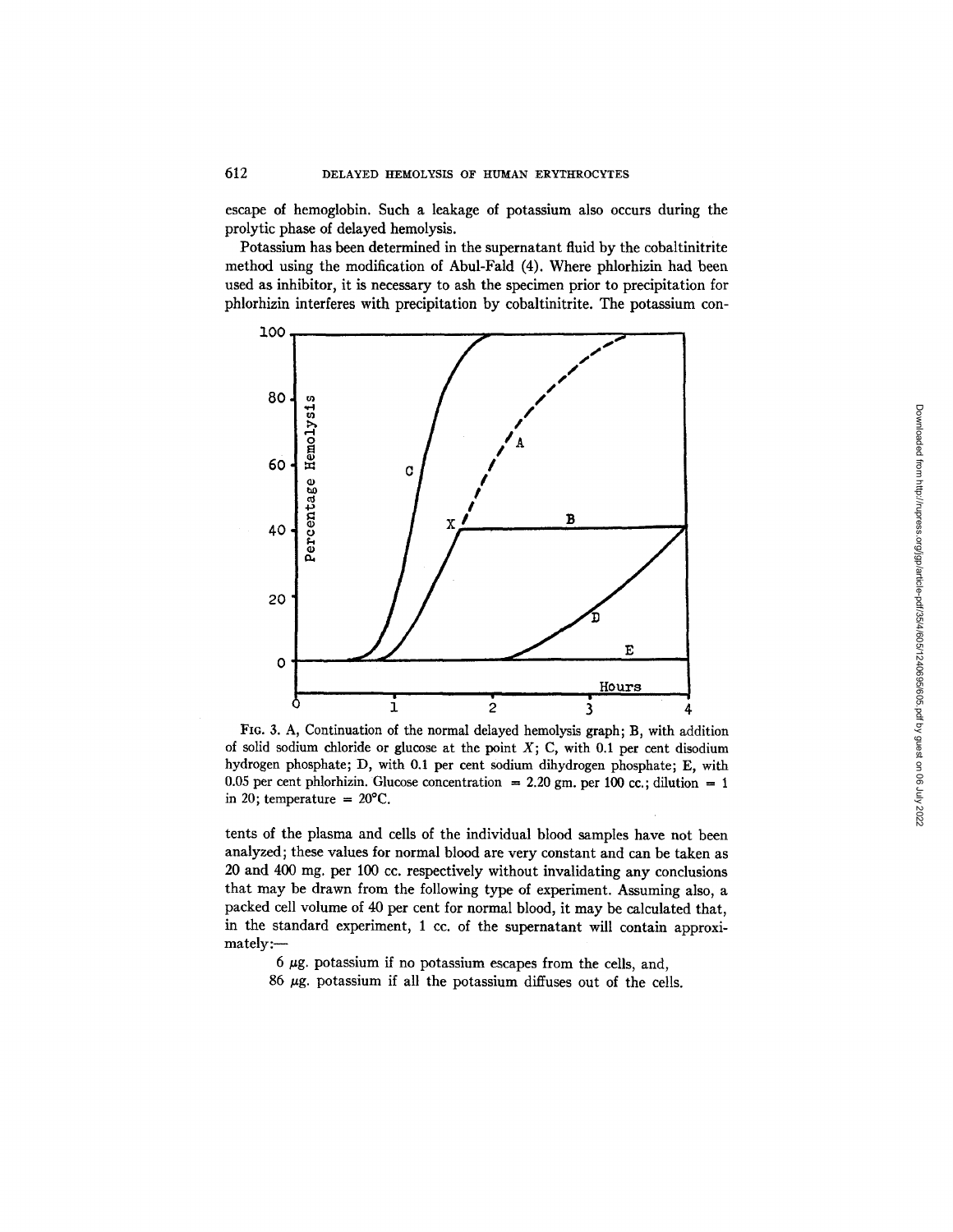escape of hemoglobin. Such a leakage of potassium also occurs during the prolytic phase of delayed hemolysis.

Potassium has been determined in the supernatant fluid by the cobaltinitrite method using the modification of Abul-Fald (4). Where phlorhizin had been used as inhibitor, it is necessary to ash the specimen prior to precipitation for phlorhizin interferes with precipitation by cobaltinitrite. The potassium con-



FI6. 3. A, Continuation of the normal delayed hemolysis graph; B, with addition of solid sodium chloride or glucose at the point  $X$ ; C, with 0.1 per cent disodium hydrogen phosphate; D, with 0.1 per cent sodium dihydrogen phosphate; E, with 0.05 per cent phlorhizin. Glucose concentration = 2.20 gm. per 100 cc.; dilution = 1 in 20; temperature  $= 20^{\circ}$ C.

tents of the plasma and cells of the individual blood samples have not been analyzed; these values for normal blood are very constant and can be taken as 20 and 400 rag. per 100 cc. respectively without invalidating any conclusions that may be drawn from the following type of experiment. Assuming also, a packed cell volume of 40 per cent for normal blood, it may be calculated that, in the standard experiment, 1 cc. of the supernatant will contain approximately:-

 $6 \mu$ g. potassium if no potassium escapes from the cells, and,

86  $\mu$ g. potassium if all the potassium diffuses out of the cells.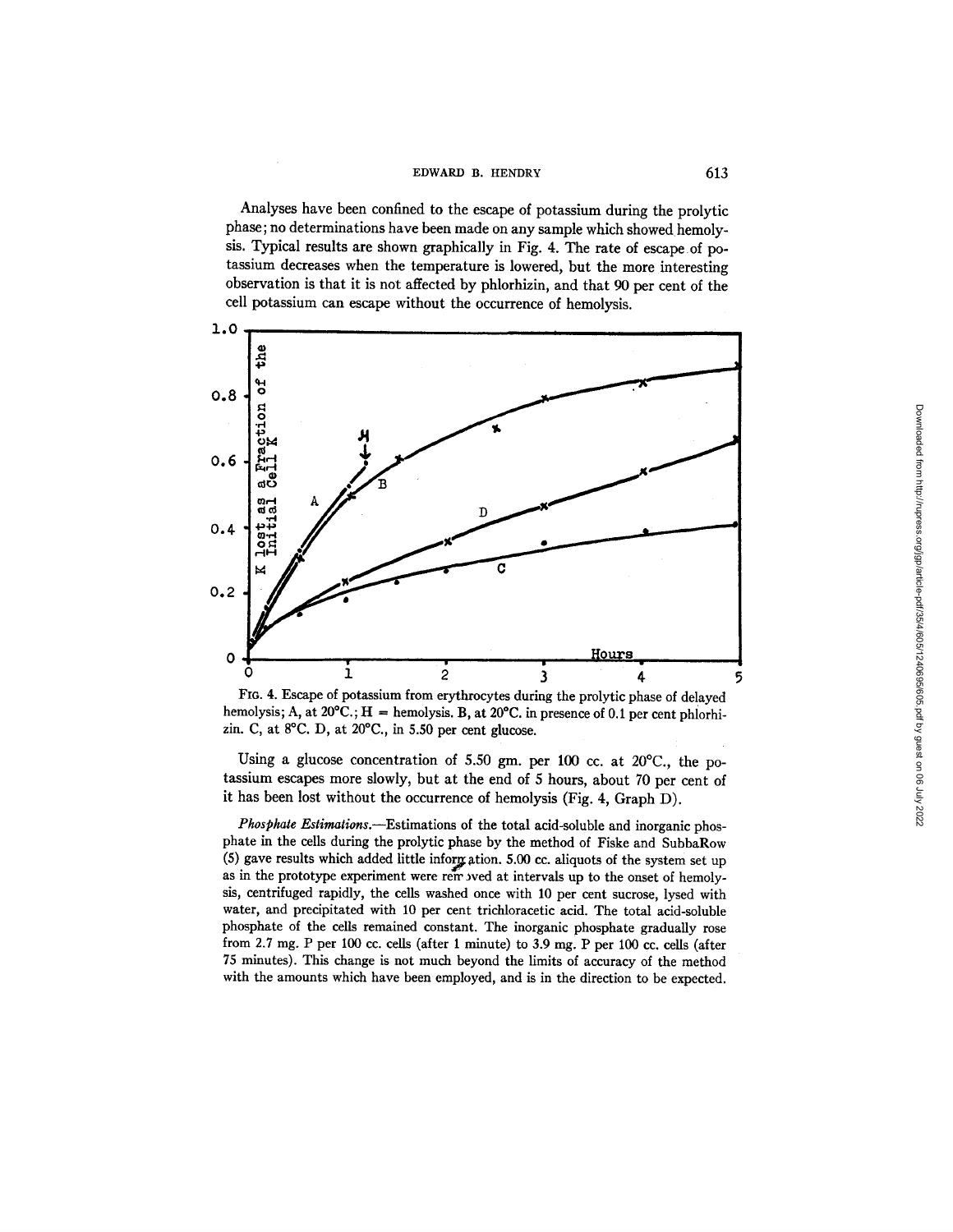Analyses have been confined to the escape of potassium during the prolytic phase; no determinations have been made on any sample which showed hemolysis. Typical results are shown graphically in Fig. 4. The rate of escape of potassium decreases when the temperature is lowered, but the more interesting observation is that it is not affected by phlorhizin, and that 90 per cent of the cell potassium can escape without the occurrence of hemolysis.



FIO. 4. Escape of potassium from erythrocytes during the prolytic phase of delayed hemolysis; A, at  $20^{\circ}\text{C}$ ; H = hemolysis. B, at  $20^{\circ}\text{C}$ . in presence of 0.1 per cent phlorhizin. C, at  $8^{\circ}$ C. D, at  $20^{\circ}$ C., in 5.50 per cent glucose.

Using a glucose concentration of 5.50 gm. per 100 cc. at 20°C., the potassium escapes more slowly, but at the end of 5 hours, about 70 per cent of it has been lost without the occurrence of hemolysis (Fig. 4, Graph D).

*Phosphate Estimations.*—Estimations of the total acid-soluble and inorganic phosphate in the cells during the prolytic phase by the method of Fiske and SubbaRow  $(5)$  gave results which added little information. 5.00 cc. aliquots of the system set up as in the prototype experiment were rerr yved at intervals up to the onset of hemolysis, centrifuged rapidly, the cells washed once with 10 per cent sucrose, lysed with water, and precipitated with 10 per cent trichloracetic acid. The total acid-soluble phosphate of the ceils remained constant. The inorganic phosphate gradually rose from 2.7 mg. P per i00 cc. ceils (after 1 minute) to 3.9 mg. P per 100 cc. ceils (after 75 minutes). This change is not much beyond the limits of accuracy of the method with the amounts which have been employed, and is in the direction to be expected.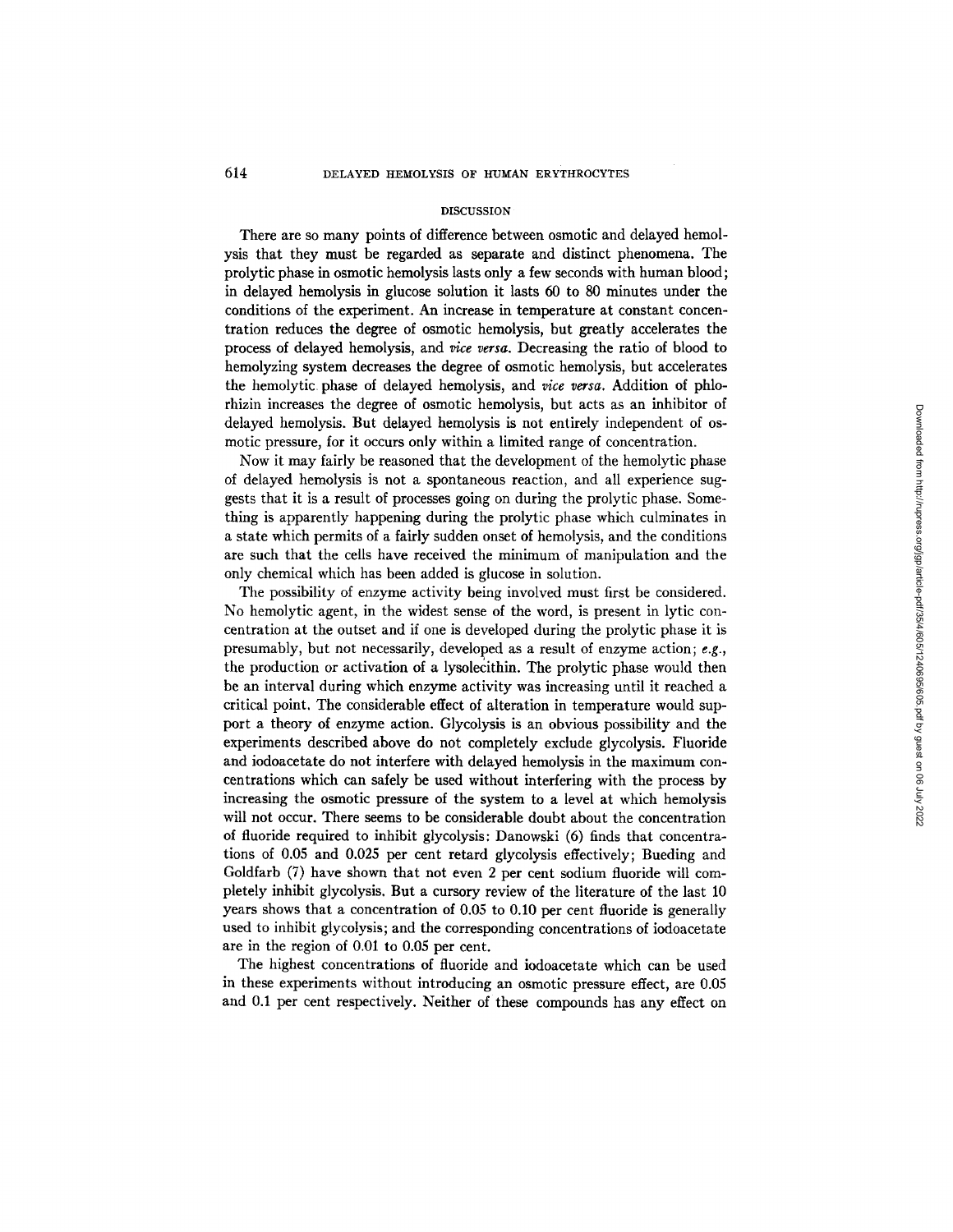#### DISCUSSION

There are so many points of difference between osmotic and delayed hemolysis that they must be regarded as separate and distinct phenomena. The prolytic phase in osmotic hemolysis lasts only a few seconds with human blood; in delayed hemolysis in glucose solution it lasts 60 to 80 minutes under the conditions of the experiment. An increase in temperature at constant concentration reduces the degree of osmotic hemolysis, but greatly accelerates the process of delayed hemolysis, and *vice versa.* Decreasing the ratio of blood to hemolyzing system decreases the degree of osmotic hemolysis, but accelerates the hemolytic phase of delayed hemolysis, and *vice versa*. Addition of phlorhizin increases the degree of osmotic hemolysis, but acts as an inhibitor of delayed hemolysis. But delayed hemolysis is not entirely independent of osmotic pressure, for it occurs only within a limited range of concentration.

Now it may fairly be reasoned that the development of the hemolytic phase of delayed hemolysis is not a spontaneous reaction, and all experience suggests that it is a result of processes going on during the prolytic phase. Something is apparently happening during the prolytic phase which culminates in a state which permits of a fairly sudden onset of hemolysis, and the conditions are such that the cells have received the minimum of manipulation and the only chemical which has been added is glucose in solution.

The possibility of enzyme activity being involved must first be considered. No hemolytic agent, in the widest sense of the word, is present in lytic concentration at the outset and if one is developed during the prolytic phase it is presumably, but not necessarily, developed as a result of enzyme action; *e.g.,*  the production or activation of a lysolecithin. The prolytic phase would then be an interval during which enzyme activity was increasing until it reached a critical point. The considerable effect of alteration in temperature would support a theory of enzyme action. Glycolysis is an obvious possibility and the experiments described above do not completely exclude glycolysis. Fluoride and iodoacetate do not interfere with delayed hemolysis in the maximum concentrations which can safely be used without interfering with the process by increasing the osmotic pressure of the system to a level at which hemolysis will not occur. There seems to be considerable doubt about the concentration of fluoride required to inhibit glycolysis: Danowski (6) finds that concentrations of 0.05 and 0.025 per cent retard glycolysis effectively; Bueding and Goldfarb (7) have shown that not even 2 per cent sodium fluoride will completely inhibit glycolysis. But a cursory review of the literature of the last 10 years shows that a concentration of 0.05 to 0.10 per cent fluoride is generally used to inhibit glycotysis; and the corresponding concentrations of iodoacetate are in the region of 0.01 to 0.05 per cent.

The highest concentrations of fluoride and iodoacetate which can be used in these experiments without introducing an osmotic pressure effect, are 0.05 and 0.1 per cent respectively. Neither of these compounds has any effect on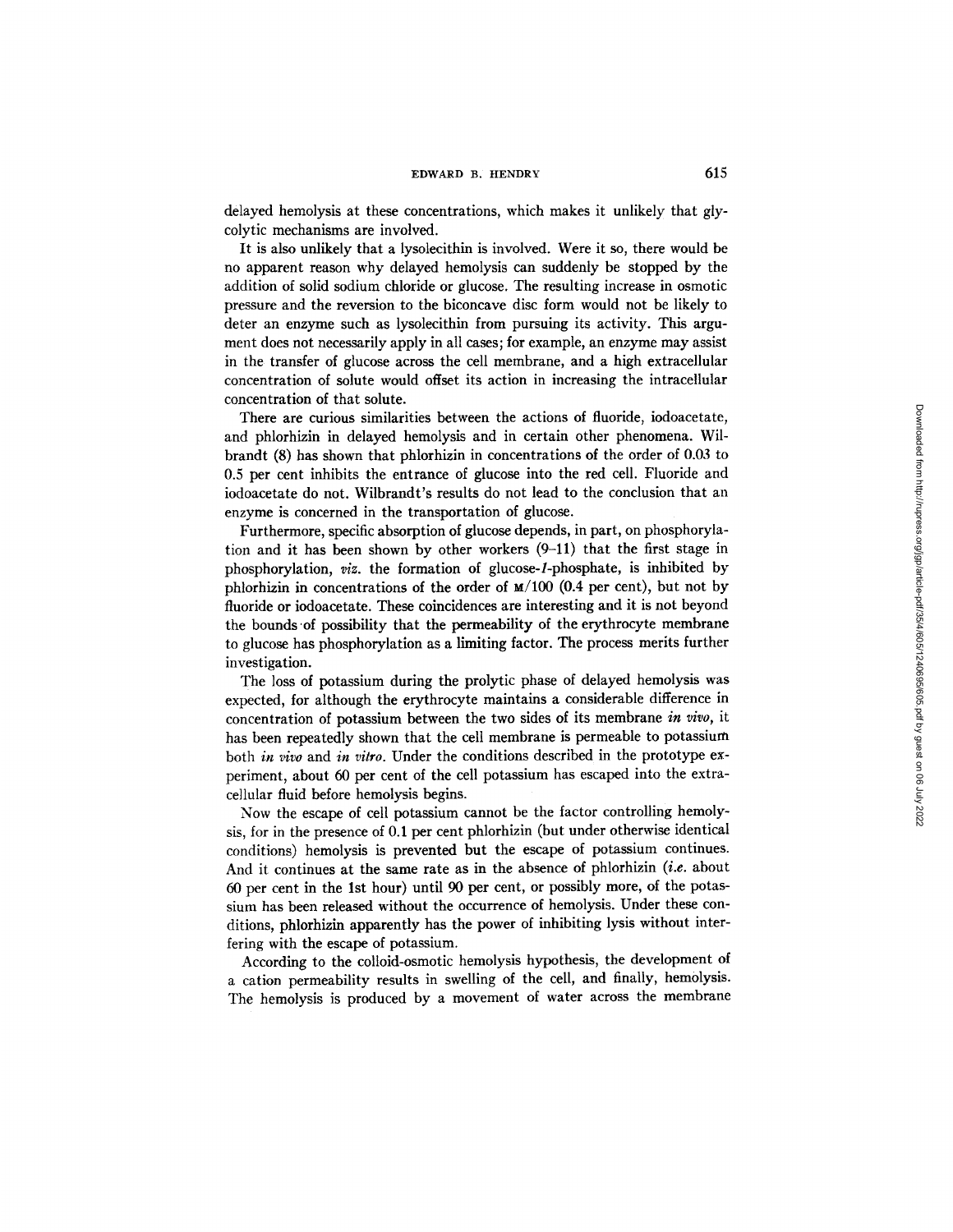delayed hemolysis at these concentrations, which makes it unlikely that glycolytic mechanisms are involved.

It is also unlikely that a lysolecithin is involved. Were it so, there would be no apparent reason why delayed hemolysis can suddenly be stopped by the addition of solid sodium chloride or glucose. The resulting increase in osmotic pressure and the reversion to the biconcave disc form would not be likely to deter an enzyme such as lysolecithin from pursuing its activity. This argument does not necessarily apply in all cases; for example, an enzyme may assist in the transfer of glucose across the cell membrane, and a high extracellular concentration of solute would offset its action in increasing the intracellular concentration of that solute.

There are curious similarities between the actions of fluoride, iodoacetate, and phlorhizin in delayed hemolysis and in certain other phenomena. Wilbrandt (8) has shown that phlorhizin in concentrations of the order of 0.03 to 0.5 per cent inhibits the entrance of glucose into the red cell. Fluoride and iodoacetate do not. Wilbrandt's results do not lead to the conclusion that an enzyme is concerned in the transportation of glucose.

Furthermore, specific absorption of glucose depends, in part, on phosphorylation and it has been shown by other workers (9-11) that the first stage in phosphorylation, viz. the formation of glucose-1-phosphate, is inhibited by phlorhizin in concentrations of the order of  $M/100$  (0.4 per cent), but not by fluoride or iodoacetate. These coincidences are interesting and it is not beyond the bounds 'of possibility that the permeability of the erythrocyte membrane to glucose has phosphorylation as a limiting factor. The process merits further investigation.

The loss of potassium during the prolytic phase of delayed hemolysis was expected, for although the erythrocyte maintains a considerable difference in concentration of potassium between the two sides of its membrane *in vivo,* it has been repeatedly shown that the cell membrane is permeable to potassium both *in vivo* and *in vitro.* Under the conditions described in the prototype experiment, about 60 per cent of the cell potassium has escaped into the extracellular fluid before hemolysis begins.

Now the escape of cell potassium cannot be the factor controlling hemolysis, for in the presence of 0.1 per cent phlorhizin (but under otherwise identical conditions) hemolysis is prevented but the escape of potassium continues. And it continues at the same rate as in the absence of phlorhizin *(i.e.* about 60 per cent in the 1st hour) until 90 per cent, or possibly more, of the potassium has been released without the occurrence of hemolysis. Under these conditions, phlorhizin apparently has the power of inhibiting lysis without interfering with the escape of potassium.

According to the colloid-osmotic hemolysis hypothesis, the development of a cation permeability results in swelling of the cell, and finally, hemolysis. The hemolysis is produced by a movement of water across the membrane